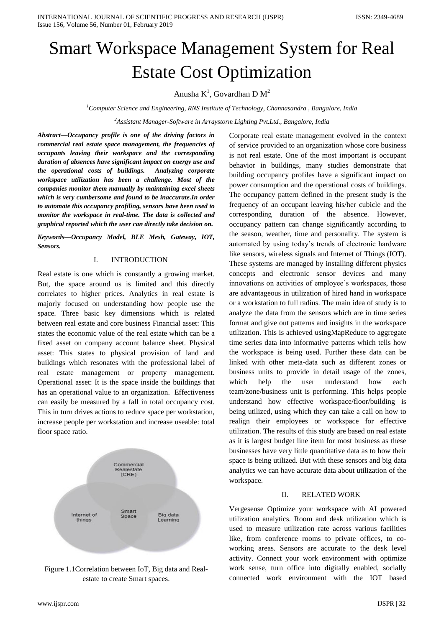# Smart Workspace Management System for Real Estate Cost Optimization

Anusha  $K^1$ , Govardhan D  $M^2$ 

*<sup>1</sup>Computer Science and Engineering, RNS Institute of Technology, Channasandra , Bangalore, India*

*<sup>2</sup>Assistant Manager-Software in Arraystorm Lighting Pvt.Ltd., Bangalore, India*

*Abstract—Occupancy profile is one of the driving factors in commercial real estate space management, the frequencies of occupants leaving their workspace and the corresponding duration of absences have significant impact on energy use and the operational costs of buildings. Analyzing corporate workspace utilization has been a challenge. Most of the companies monitor them manually by maintaining excel sheets which is very cumbersome and found to be inaccurate.In order to automate this occupancy profiling, sensors have been used to monitor the workspace in real-time. The data is collected and graphical reported which the user can directly take decision on.* 

*Keywords—Occupancy Model, BLE Mesh, Gateway, IOT, Sensors.*

#### I. INTRODUCTION

Real estate is one which is constantly a growing market. But, the space around us is limited and this directly correlates to higher prices. Analytics in real estate is majorly focused on understanding how people use the space. Three basic key dimensions which is related between real estate and core business Financial asset: This states the economic value of the real estate which can be a fixed asset on company account balance sheet. Physical asset: This states to physical provision of land and buildings which resonates with the professional label of real estate management or property management. Operational asset: It is the space inside the buildings that has an operational value to an organization. Effectiveness can easily be measured by a fall in total occupancy cost. This in turn drives actions to reduce space per workstation, increase people per workstation and increase useable: total floor space ratio.



Figure 1.1Correlation between IoT, Big data and Realestate to create Smart spaces.

www.ijspr.com IJSPR | 32

Corporate real estate management evolved in the context of service provided to an organization whose core business is not real estate. One of the most important is occupant behavior in buildings, many studies demonstrate that building occupancy profiles have a significant impact on power consumption and the operational costs of buildings. The occupancy pattern defined in the present study is the frequency of an occupant leaving his/her cubicle and the corresponding duration of the absence. However, occupancy pattern can change significantly according to the season, weather, time and personality. The system is automated by using today's trends of electronic hardware like sensors, wireless signals and Internet of Things (IOT). These systems are managed by installing different physics concepts and electronic sensor devices and many innovations on activities of employee's workspaces, those are advantageous in utilization of hired hand in workspace or a workstation to full radius. The main idea of study is to analyze the data from the sensors which are in time series format and give out patterns and insights in the workspace utilization. This is achieved usingMapReduce to aggregate time series data into informative patterns which tells how the workspace is being used. Further these data can be linked with other meta-data such as different zones or business units to provide in detail usage of the zones, which help the user understand how each team/zone/business unit is performing. This helps people understand how effective workspace/floor/building is being utilized, using which they can take a call on how to realign their employees or workspace for effective utilization. The results of this study are based on real estate as it is largest budget line item for most business as these businesses have very little quantitative data as to how their space is being utilized. But with these sensors and big data analytics we can have accurate data about utilization of the workspace.

## II. RELATED WORK

Vergesense Optimize your workspace with AI powered utilization analytics. Room and desk utilization which is used to measure utilization rate across various facilities like, from conference rooms to private offices, to coworking areas. Sensors are accurate to the desk level activity. Connect your work environment with optimize work sense, turn office into digitally enabled, socially connected work environment with the IOT based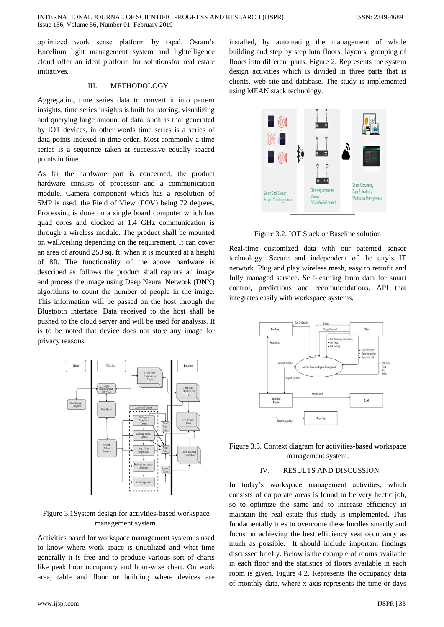optimized work sense platform by rapal. Osram's Encelium light management system and lightelligence cloud offer an ideal platform for solutionsfor real estate initiatives.

## III. METHODOLOGY

Aggregating time series data to convert it into pattern insights, time series insights is built for storing, visualizing and querying large amount of data, such as that generated by IOT devices, in other words time series is a series of data points indexed in time order. Most commonly a time series is a sequence taken at successive equally spaced points in time.

As far the hardware part is concerned, the product hardware consists of processor and a communication module. Camera component which has a resolution of 5MP is used, the Field of View (FOV) being 72 degrees. Processing is done on a single board computer which has quad cores and clocked at 1.4 GHz communication is through a wireless module. The product shall be mounted on wall/ceiling depending on the requirement. It can cover an area of around 250 sq. ft. when it is mounted at a height of 8ft. The functionality of the above hardware is described as follows the product shall capture an image and process the image using Deep Neural Network (DNN) algorithms to count the number of people in the image. This information will be passed on the host through the Bluetooth interface. Data received to the host shall be pushed to the cloud server and will be used for analysis. It is to be noted that device does not store any image for privacy reasons.



Figure 3.1System design for activities-based workspace management system.

Activities based for workspace management system is used to know where work space is unutilized and what time generally it is free and to produce various sort of charts like peak hour occupancy and hour-wise chart. On work area, table and floor or building where devices are

installed, by automating the management of whole building and step by step into floors, layouts, grouping of floors into different parts. Figure 2. Represents the system design activities which is divided in three parts that is clients, web site and database. The study is implemented using MEAN stack technology.



Figure 3.2. IOT Stack or Baseline solution

Real-time customized data with our patented sensor technology. Secure and independent of the city's IT network. Plug and play wireless mesh, easy to retrofit and fully managed service. Self-learning from data for smart control, predictions and recommendations. API that integrates easily with workspace systems.



Figure 3.3. Context diagram for activities-based workspace management system.

#### IV. RESULTS AND DISCUSSION

In today's workspace management activities, which consists of corporate areas is found to be very hectic job, so to optimize the same and to increase efficiency in maintain the real estate this study is implemented. This fundamentally tries to overcome these hurdles smartly and focus on achieving the best efficiency seat occupancy as much as possible. It should include important findings discussed briefly. Below is the example of rooms available in each floor and the statistics of floors available in each room is given. Figure 4.2. Represents the occupancy data of monthly data, where x-axis represents the time or days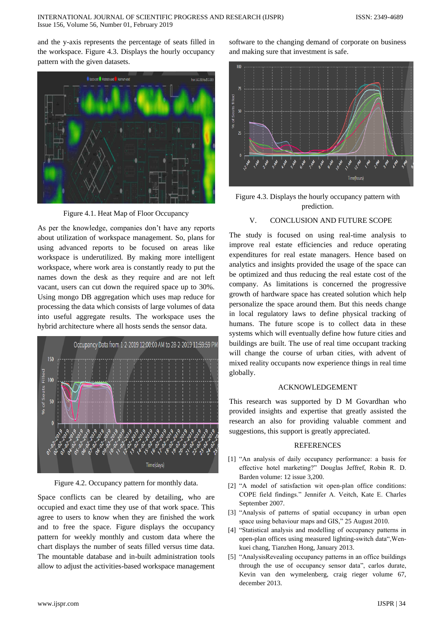and the y-axis represents the percentage of seats filled in the workspace. Figure 4.3. Displays the hourly occupancy pattern with the given datasets.



Figure 4.1. Heat Map of Floor Occupancy

As per the knowledge, companies don't have any reports about utilization of workspace management. So, plans for using advanced reports to be focused on areas like workspace is underutilized. By making more intelligent workspace, where work area is constantly ready to put the names down the desk as they require and are not left vacant, users can cut down the required space up to 30%. Using mongo DB aggregation which uses map reduce for processing the data which consists of large volumes of data into useful aggregate results. The workspace uses the hybrid architecture where all hosts sends the sensor data.



Figure 4.2. Occupancy pattern for monthly data.

Space conflicts can be cleared by detailing, who are occupied and exact time they use of that work space. This agree to users to know when they are finished the work and to free the space. Figure displays the occupancy pattern for weekly monthly and custom data where the chart displays the number of seats filled versus time data. The mountable database and in-built administration tools allow to adjust the activities-based workspace management

software to the changing demand of corporate on business and making sure that investment is safe.



Figure 4.3. Displays the hourly occupancy pattern with prediction.

### V. CONCLUSION AND FUTURE SCOPE

The study is focused on using real-time analysis to improve real estate efficiencies and reduce operating expenditures for real estate managers. Hence based on analytics and insights provided the usage of the space can be optimized and thus reducing the real estate cost of the company. As limitations is concerned the progressive growth of hardware space has created solution which help personalize the space around them. But this needs change in local regulatory laws to define physical tracking of humans. The future scope is to collect data in these systems which will eventually define how future cities and buildings are built. The use of real time occupant tracking will change the course of urban cities, with advent of mixed reality occupants now experience things in real time globally.

#### ACKNOWLEDGEMENT

This research was supported by D M Govardhan who provided insights and expertise that greatly assisted the research an also for providing valuable comment and suggestions, this support is greatly appreciated.

## **REFERENCES**

- [1] "An analysis of daily occupancy performance: a basis for effective hotel marketing?" Douglas Jeffref, Robin R. D. Barden volume: 12 issue 3,200.
- [2] "A model of satisfaction wit open-plan office conditions: COPE field findings." Jennifer A. Veitch, Kate E. Charles September 2007.
- [3] "Analysis of patterns of spatial occupancy in urban open space using behaviour maps and GIS," 25 August 2010.
- [4] "Statistical analysis and modelling of occupancy patterns in open-plan offices using measured lighting-switch data",Wenkuei chang, Tianzhen Hong, January 2013.
- [5] "AnalysisRevealing occupancy patterns in an office buildings through the use of occupancy sensor data", carlos durate, Kevin van den wymelenberg, craig rieger volume 67, december 2013.